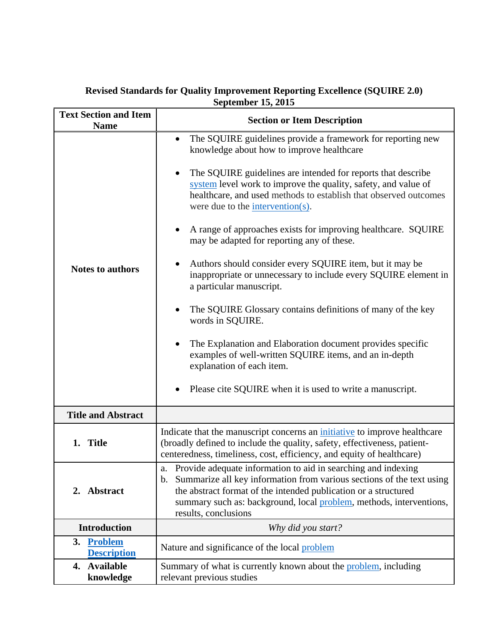| <b>Text Section and Item</b><br><b>Name</b> | <b>Section or Item Description</b>                                                                                                                                                                                                                                                                                          |
|---------------------------------------------|-----------------------------------------------------------------------------------------------------------------------------------------------------------------------------------------------------------------------------------------------------------------------------------------------------------------------------|
| <b>Notes to authors</b>                     | The SQUIRE guidelines provide a framework for reporting new<br>$\bullet$<br>knowledge about how to improve healthcare<br>The SQUIRE guidelines are intended for reports that describe<br>system level work to improve the quality, safety, and value of<br>healthcare, and used methods to establish that observed outcomes |
|                                             | were due to the $\frac{intervention(s)}{s}$ .<br>A range of approaches exists for improving healthcare. SQUIRE<br>may be adapted for reporting any of these.                                                                                                                                                                |
|                                             | Authors should consider every SQUIRE item, but it may be<br>inappropriate or unnecessary to include every SQUIRE element in<br>a particular manuscript.                                                                                                                                                                     |
|                                             | The SQUIRE Glossary contains definitions of many of the key<br>words in SQUIRE.                                                                                                                                                                                                                                             |
|                                             | The Explanation and Elaboration document provides specific<br>examples of well-written SQUIRE items, and an in-depth<br>explanation of each item.                                                                                                                                                                           |
|                                             | Please cite SQUIRE when it is used to write a manuscript.                                                                                                                                                                                                                                                                   |
| <b>Title and Abstract</b>                   |                                                                                                                                                                                                                                                                                                                             |
| 1. Title                                    | Indicate that the manuscript concerns an <i>initiative</i> to improve healthcare<br>(broadly defined to include the quality, safety, effectiveness, patient-<br>centeredness, timeliness, cost, efficiency, and equity of healthcare)                                                                                       |
| 2. Abstract                                 | Provide adequate information to aid in searching and indexing<br>a.<br>b. Summarize all key information from various sections of the text using<br>the abstract format of the intended publication or a structured<br>summary such as: background, local problem, methods, interventions,<br>results, conclusions           |
| <b>Introduction</b>                         | Why did you start?                                                                                                                                                                                                                                                                                                          |
| 3. Problem<br><b>Description</b>            | Nature and significance of the local problem                                                                                                                                                                                                                                                                                |
| Available<br>4.<br>knowledge                | Summary of what is currently known about the problem, including<br>relevant previous studies                                                                                                                                                                                                                                |

# **Revised Standards for Quality Improvement Reporting Excellence (SQUIRE 2.0) September 15, 2015**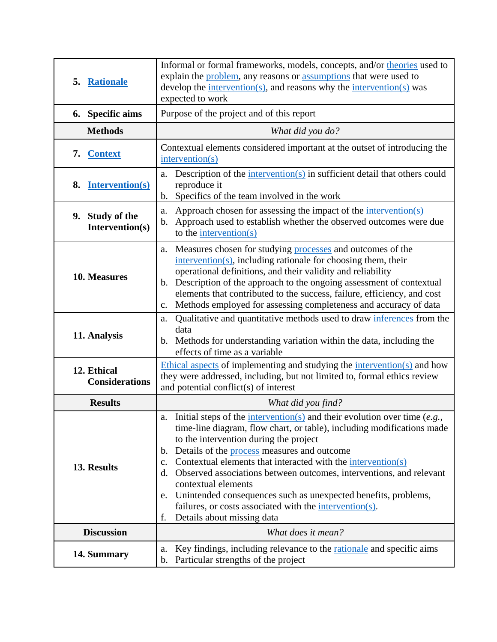| 5. Rationale                         | Informal or formal frameworks, models, concepts, and/or theories used to<br>explain the problem, any reasons or assumptions that were used to                                                                                                                                                                                                                                                                                                                                                                                                                                                                             |
|--------------------------------------|---------------------------------------------------------------------------------------------------------------------------------------------------------------------------------------------------------------------------------------------------------------------------------------------------------------------------------------------------------------------------------------------------------------------------------------------------------------------------------------------------------------------------------------------------------------------------------------------------------------------------|
|                                      | develop the $\frac{intervention(s)}{s}$ , and reasons why the $\frac{intervention(s)}{s}$ was<br>expected to work                                                                                                                                                                                                                                                                                                                                                                                                                                                                                                         |
| <b>Specific aims</b><br>6.           | Purpose of the project and of this report                                                                                                                                                                                                                                                                                                                                                                                                                                                                                                                                                                                 |
| <b>Methods</b>                       | What did you do?                                                                                                                                                                                                                                                                                                                                                                                                                                                                                                                                                                                                          |
| 7. Context                           | Contextual elements considered important at the outset of introducing the<br>intervation(s)                                                                                                                                                                                                                                                                                                                                                                                                                                                                                                                               |
| <b>Intervention(s)</b><br>8.         | Description of the intervention(s) in sufficient detail that others could<br>a.<br>reproduce it<br>Specifics of the team involved in the work<br>b.                                                                                                                                                                                                                                                                                                                                                                                                                                                                       |
| 9. Study of the<br>Intervention(s)   | Approach chosen for assessing the impact of the intervention(s)<br>a.<br>Approach used to establish whether the observed outcomes were due<br>$\mathbf{b}$ .<br>to the intervention( $s$ )                                                                                                                                                                                                                                                                                                                                                                                                                                |
| 10. Measures                         | Measures chosen for studying processes and outcomes of the<br>a.<br>$intervention(s)$ , including rationale for choosing them, their<br>operational definitions, and their validity and reliability                                                                                                                                                                                                                                                                                                                                                                                                                       |
|                                      | b. Description of the approach to the ongoing assessment of contextual<br>elements that contributed to the success, failure, efficiency, and cost<br>Methods employed for assessing completeness and accuracy of data<br>c.                                                                                                                                                                                                                                                                                                                                                                                               |
| 11. Analysis                         | Qualitative and quantitative methods used to draw inferences from the<br>a.<br>data<br>b. Methods for understanding variation within the data, including the<br>effects of time as a variable                                                                                                                                                                                                                                                                                                                                                                                                                             |
| 12. Ethical<br><b>Considerations</b> | Ethical aspects of implementing and studying the $intervention(s)$ and how<br>they were addressed, including, but not limited to, formal ethics review<br>and potential conflict(s) of interest                                                                                                                                                                                                                                                                                                                                                                                                                           |
| <b>Results</b>                       | What did you find?                                                                                                                                                                                                                                                                                                                                                                                                                                                                                                                                                                                                        |
| 13. Results                          | Initial steps of the $\frac{intervention(s)}{s}$ and their evolution over time (e.g.,<br>a.<br>time-line diagram, flow chart, or table), including modifications made<br>to the intervention during the project<br>Details of the <b>process</b> measures and outcome<br>b.<br>Contextual elements that interacted with the intervention(s)<br>c.<br>d. Observed associations between outcomes, interventions, and relevant<br>contextual elements<br>Unintended consequences such as unexpected benefits, problems,<br>e.<br>failures, or costs associated with the intervention(s).<br>Details about missing data<br>f. |
| <b>Discussion</b>                    | What does it mean?                                                                                                                                                                                                                                                                                                                                                                                                                                                                                                                                                                                                        |
| 14. Summary                          | Key findings, including relevance to the rationale and specific aims<br>a.<br>Particular strengths of the project<br>b.                                                                                                                                                                                                                                                                                                                                                                                                                                                                                                   |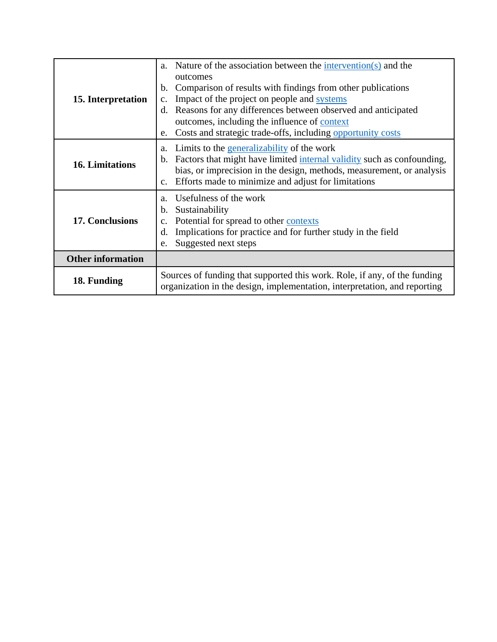| 15. Interpretation       | Nature of the association between the intervention(s) and the<br>a.<br>outcomes<br>Comparison of results with findings from other publications<br>b.<br>Impact of the project on people and systems<br>c.<br>Reasons for any differences between observed and anticipated<br>d.<br>outcomes, including the influence of context<br>Costs and strategic trade-offs, including opportunity costs<br>e. |
|--------------------------|------------------------------------------------------------------------------------------------------------------------------------------------------------------------------------------------------------------------------------------------------------------------------------------------------------------------------------------------------------------------------------------------------|
| 16. Limitations          | Limits to the generalizability of the work<br>a.<br>Factors that might have limited internal validity such as confounding,<br>$\mathbf b$ .<br>bias, or imprecision in the design, methods, measurement, or analysis<br>Efforts made to minimize and adjust for limitations<br>C.                                                                                                                    |
| <b>17. Conclusions</b>   | Usefulness of the work<br>a.<br>Sustainability<br>b.<br>Potential for spread to other contexts<br>c.<br>Implications for practice and for further study in the field<br>d.<br>Suggested next steps<br>e.                                                                                                                                                                                             |
| <b>Other information</b> |                                                                                                                                                                                                                                                                                                                                                                                                      |
| 18. Funding              | Sources of funding that supported this work. Role, if any, of the funding<br>organization in the design, implementation, interpretation, and reporting                                                                                                                                                                                                                                               |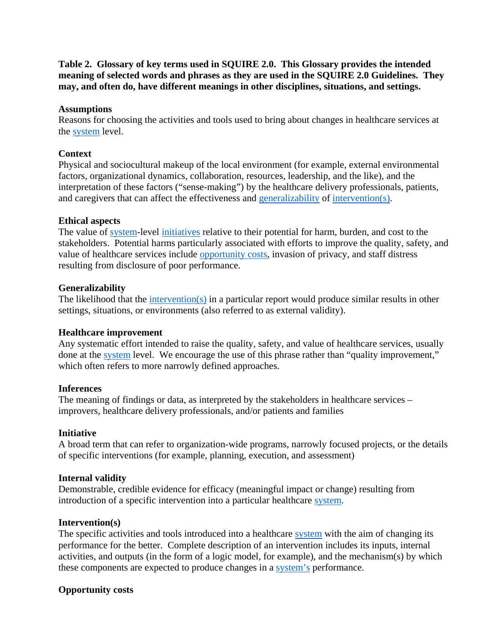**Table 2. Glossary of key terms used in SQUIRE 2.0. This Glossary provides the intended meaning of selected words and phrases as they are used in the SQUIRE 2.0 Guidelines. They may, and often do, have different meanings in other disciplines, situations, and settings.**

### <span id="page-3-2"></span>**Assumptions**

Reasons for choosing the activities and tools used to bring about changes in healthcare services at the [system](#page-4-0) level.

### <span id="page-3-3"></span>**Context**

Physical and sociocultural makeup of the local environment (for example, external environmental factors, organizational dynamics, collaboration, resources, leadership, and the like), and the interpretation of these factors ("sense-making") by the healthcare delivery professionals, patients, and caregivers that can affect the effectiveness and [generalizability](#page-3-7) of [intervention\(s\).](#page-3-0)

### <span id="page-3-5"></span>**Ethical aspects**

The value of [system-](#page-4-0)level [initiatives](#page-3-1) relative to their potential for harm, burden, and cost to the stakeholders. Potential harms particularly associated with efforts to improve the quality, safety, and value of healthcare services include [opportunity costs,](#page-3-6) invasion of privacy, and staff distress resulting from disclosure of poor performance.

### <span id="page-3-7"></span>**Generalizability**

The likelihood that the [intervention\(s\)](#page-3-0) in a particular report would produce similar results in other settings, situations, or environments (also referred to as external validity).

### <span id="page-3-9"></span>**Healthcare improvement**

Any systematic effort intended to raise the quality, safety, and value of healthcare services, usually done at the [system](#page-4-0) level. We encourage the use of this phrase rather than "quality improvement," which often refers to more narrowly defined approaches.

#### <span id="page-3-4"></span>**Inferences**

The meaning of findings or data, as interpreted by the stakeholders in healthcare services – improvers, healthcare delivery professionals, and/or patients and families

#### <span id="page-3-1"></span>**Initiative**

A broad term that can refer to organization-wide programs, narrowly focused projects, or the details of specific interventions (for example, planning, execution, and assessment)

#### <span id="page-3-8"></span>**Internal validity**

Demonstrable, credible evidence for efficacy (meaningful impact or change) resulting from introduction of a specific intervention into a particular healthcare [system.](#page-4-0)

#### <span id="page-3-0"></span>**Intervention(s)**

The specific activities and tools introduced into a healthcare [system](#page-4-0) with the aim of changing its performance for the better. Complete description of an intervention includes its inputs, internal activities, and outputs (in the form of a logic model, for example), and the mechanism(s) by which these components are expected to produce changes in a [system's](#page-4-0) performance.

### <span id="page-3-6"></span>**Opportunity costs**